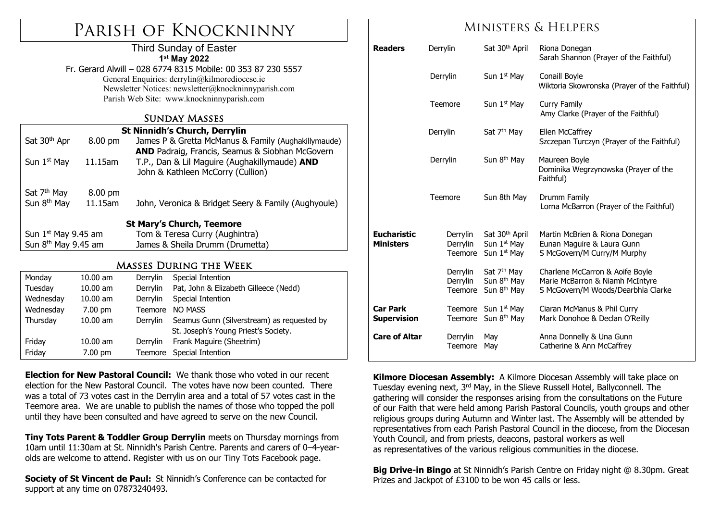# Parish of Knockninny

#### Third Sunday of Easter **1st May 2022**

Fr. Gerard Alwill – 028 6774 8315 Mobile: 00 353 87 230 5557 General Enquiries: derrylin@kilmorediocese.ie Newsletter Notices: newsletter@knockninnyparish.com Parish Web Site: www.knockninnyparish.com

#### Sunday Masses

|                                     |         | <b>St Ninnidh's Church, Derrylin</b>                |  |  |  |  |
|-------------------------------------|---------|-----------------------------------------------------|--|--|--|--|
| Sat 30 <sup>th</sup> Apr<br>8.00 pm |         | James P & Gretta McManus & Family (Aughakillymaude) |  |  |  |  |
|                                     |         | AND Padraig, Francis, Seamus & Siobhan McGovern     |  |  |  |  |
| Sun $1st$ May                       | 11.15am | T.P., Dan & Lil Maguire (Aughakillymaude) AND       |  |  |  |  |
|                                     |         | John & Kathleen McCorry (Cullion)                   |  |  |  |  |
|                                     |         |                                                     |  |  |  |  |
| Sat 7 <sup>th</sup> May             | 8.00 pm |                                                     |  |  |  |  |
| Sun 8 <sup>th</sup> May             | 11.15am | John, Veronica & Bridget Seery & Family (Aughyoule) |  |  |  |  |
|                                     |         |                                                     |  |  |  |  |
| <b>St Mary's Church, Teemore</b>    |         |                                                     |  |  |  |  |
| Sun $1st$ May 9.45 am               |         | Tom & Teresa Curry (Aughintra)                      |  |  |  |  |
| Sun 8 <sup>th</sup> May 9.45 am     |         | James & Sheila Drumm (Drumetta)                     |  |  |  |  |
|                                     |         |                                                     |  |  |  |  |
| Masses During the Week              |         |                                                     |  |  |  |  |

## Masses During the Week

| Monday    | $10.00$ am        | Derrylin | Special Intention                          |  |
|-----------|-------------------|----------|--------------------------------------------|--|
| Tuesday   | $10.00$ am        | Derrylin | Pat, John & Elizabeth Gilleece (Nedd)      |  |
| Wednesday | $10.00$ am        | Derrylin | Special Intention                          |  |
| Wednesday | $7.00 \text{ pm}$ | Teemore  | NO MASS                                    |  |
| Thursday  | $10.00$ am        | Derrylin | Seamus Gunn (Silverstream) as requested by |  |
|           |                   |          | St. Joseph's Young Priest's Society.       |  |
| Friday    | $10.00$ am        | Derrylin | Frank Maguire (Sheetrim)                   |  |
| Friday    | $7.00 \text{ pm}$ | Teemore  | Special Intention                          |  |

**Election for New Pastoral Council:** We thank those who voted in our recent election for the New Pastoral Council. The votes have now been counted. There was a total of 73 votes cast in the Derrylin area and a total of 57 votes cast in the Teemore area. We are unable to publish the names of those who topped the poll until they have been consulted and have agreed to serve on the new Council.

**Tiny Tots Parent & Toddler Group Derrylin** meets on Thursday mornings from 10am until 11:30am at St. Ninnidh's Parish Centre. Parents and carers of 0–4-yearolds are welcome to attend. Register with us on our Tiny Tots Facebook page.

**Society of St Vincent de Paul:** St Ninnidh's Conference can be contacted for support at any time on 07873240493.

## Ministers & Helpers

| <b>Readers</b>                         | Derrylin                               | Sat 30 <sup>th</sup> April                                                       | Riona Donegan<br>Sarah Shannon (Prayer of the Faithful)                                                  |
|----------------------------------------|----------------------------------------|----------------------------------------------------------------------------------|----------------------------------------------------------------------------------------------------------|
|                                        | Derrylin                               | Sun 1 <sup>st</sup> May                                                          | Conaill Boyle<br>Wiktoria Skowronska (Prayer of the Faithful)                                            |
|                                        | Teemore                                | Sun 1 <sup>st</sup> May                                                          | Curry Family<br>Amy Clarke (Prayer of the Faithful)                                                      |
|                                        | Derrylin                               | Sat 7 <sup>th</sup> May                                                          | Ellen McCaffrey<br>Szczepan Turczyn (Prayer of the Faithful)                                             |
|                                        | Derrylin                               | Sun 8 <sup>th</sup> May                                                          | Maureen Boyle<br>Dominika Wegrzynowska (Prayer of the<br>Faithful)                                       |
|                                        | Teemore                                | Sun 8th May                                                                      | Drumm Family<br>Lorna McBarron (Prayer of the Faithful)                                                  |
| <b>Eucharistic</b><br><b>Ministers</b> | Derrylin<br>Derrylin<br><b>Teemore</b> | Sat 30 <sup>th</sup> April<br>Sun 1 <sup>st</sup> May<br>Sun 1 <sup>st</sup> May | Martin McBrien & Riona Donegan<br>Eunan Maguire & Laura Gunn<br>S McGovern/M Curry/M Murphy              |
|                                        | Derrylin<br>Derrylin<br>Teemore        | Sat 7 <sup>th</sup> May<br>Sun 8 <sup>th</sup> May<br>Sun 8 <sup>th</sup> May    | Charlene McCarron & Aoife Boyle<br>Marie McBarron & Niamh McIntyre<br>S McGovern/M Woods/Dearbhla Clarke |
| <b>Car Park</b><br><b>Supervision</b>  | Teemore<br>Teemore                     | Sun 1 <sup>st</sup> May<br>Sun 8 <sup>th</sup> May                               | Ciaran McManus & Phil Curry<br>Mark Donohoe & Declan O'Reilly                                            |
| <b>Care of Altar</b>                   | Derrylin<br><b>Teemore</b>             | May<br>May                                                                       | Anna Donnelly & Una Gunn<br>Catherine & Ann McCaffrey                                                    |

**Kilmore Diocesan Assembly:** A Kilmore Diocesan Assembly will take place on Tuesday evening next, 3rd May, in the Slieve Russell Hotel, Ballyconnell. The gathering will consider the responses arising from the consultations on the Future of our Faith that were held among Parish Pastoral Councils, youth groups and other religious groups during Autumn and Winter last. The Assembly will be attended by representatives from each Parish Pastoral Council in the diocese, from the Diocesan Youth Council, and from priests, deacons, pastoral workers as well as representatives of the various religious communities in the diocese.

**Big Drive-in Bingo** at St Ninnidh's Parish Centre on Friday night @ 8.30pm. Great Prizes and Jackpot of £3100 to be won 45 calls or less.